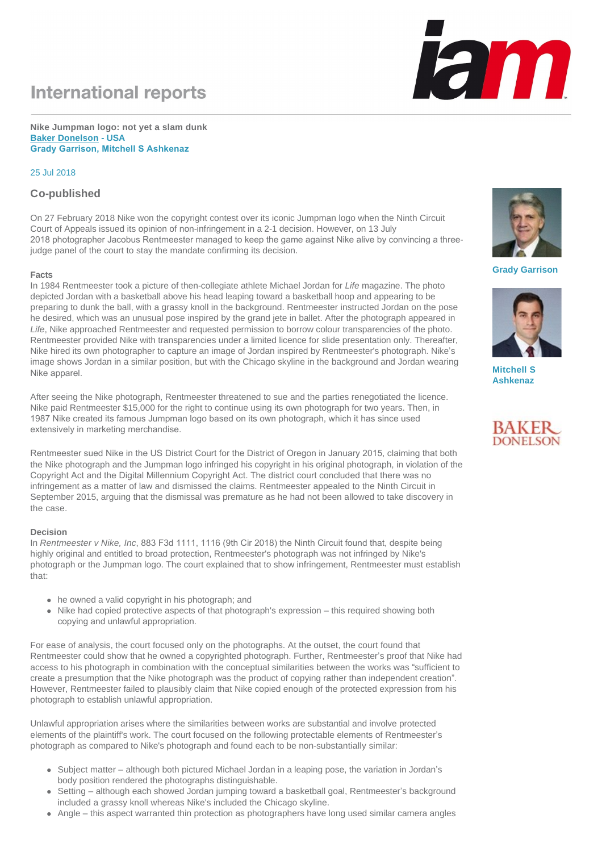# **International reports**



#### **Nike Jumpman logo: not yet a slam dunk [Baker Donelson](http://www.iam-media.com/r.ashx?l=81L6814) - USA Grady Garrison, Mitchell S Ashkenaz**

25 Jul 2018

### **Co-published**

On 27 February 2018 Nike won the copyright contest over its iconic Jumpman logo when the Ninth Circuit Court of Appeals issued its opinion of non-infringement in a 2-1 decision. However, on 13 July 2018 photographer Jacobus Rentmeester managed to keep the game against Nike alive by convincing a threejudge panel of the court to stay the mandate confirming its decision.

#### **Facts**

In 1984 Rentmeester took a picture of then-collegiate athlete Michael Jordan for *Life* magazine. The photo depicted Jordan with a basketball above his head leaping toward a basketball hoop and appearing to be preparing to dunk the ball, with a grassy knoll in the background. Rentmeester instructed Jordan on the pose he desired, which was an unusual pose inspired by the grand jete in ballet. After the photograph appeared in *Life*, Nike approached Rentmeester and requested permission to borrow colour transparencies of the photo. Rentmeester provided Nike with transparencies under a limited licence for slide presentation only. Thereafter, Nike hired its own photographer to capture an image of Jordan inspired by Rentmeester's photograph. Nike's image shows Jordan in a similar position, but with the Chicago skyline in the background and Jordan wearing Nike apparel.

After seeing the Nike photograph, Rentmeester threatened to sue and the parties renegotiated the licence. Nike paid Rentmeester \$15,000 for the right to continue using its own photograph for two years. Then, in 1987 Nike created its famous Jumpman logo based on its own photograph, which it has since used extensively in marketing merchandise.

Rentmeester sued Nike in the US District Court for the District of Oregon in January 2015, claiming that both the Nike photograph and the Jumpman logo infringed his copyright in his original photograph, in violation of the Copyright Act and the Digital Millennium Copyright Act. The district court concluded that there was no infringement as a matter of law and dismissed the claims. Rentmeester appealed to the Ninth Circuit in September 2015, arguing that the dismissal was premature as he had not been allowed to take discovery in the case.

#### **Decision**

In *Rentmeester v Nike, Inc*, 883 F3d 1111, 1116 (9th Cir 2018) the Ninth Circuit found that, despite being highly original and entitled to broad protection, Rentmeester's photograph was not infringed by Nike's photograph or the Jumpman logo. The court explained that to show infringement, Rentmeester must establish that:

- $\bullet$  he owned a valid copyright in his photograph; and
- Nike had copied protective aspects of that photograph's expression this required showing both copying and unlawful appropriation.

For ease of analysis, the court focused only on the photographs. At the outset, the court found that Rentmeester could show that he owned a copyrighted photograph. Further, Rentmeester's proof that Nike had access to his photograph in combination with the conceptual similarities between the works was "sufficient to create a presumption that the Nike photograph was the product of copying rather than independent creation". However, Rentmeester failed to plausibly claim that Nike copied enough of the protected expression from his photograph to establish unlawful appropriation.

Unlawful appropriation arises where the similarities between works are substantial and involve protected elements of the plaintiff's work. The court focused on the following protectable elements of Rentmeester's photograph as compared to Nike's photograph and found each to be non-substantially similar:

- Subject matter although both pictured Michael Jordan in a leaping pose, the variation in Jordan's body position rendered the photographs distinguishable.
- Setting although each showed Jordan jumping toward a basketball goal, Rentmeester's background included a grassy knoll whereas Nike's included the Chicago skyline.
- Angle this aspect warranted thin protection as photographers have long used similar camera angles



**Grady Garrison**



**Mitchell S Ashkenaz**